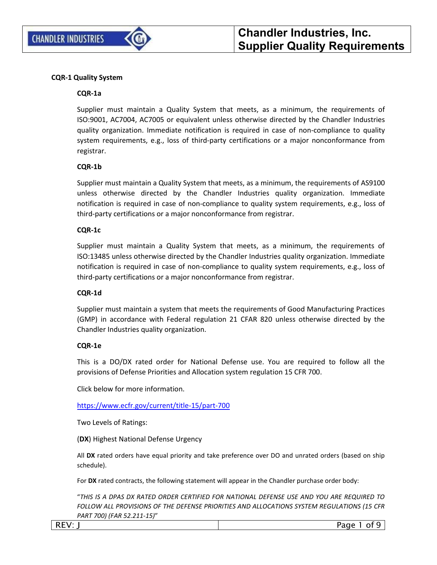

#### **CQR-1 Quality System**

#### **CQR-1a**

Supplier must maintain a Quality System that meets, as a minimum, the requirements of ISO:9001, AC7004, AC7005 or equivalent unless otherwise directed by the Chandler Industries quality organization. Immediate notification is required in case of non-compliance to quality system requirements, e.g., loss of third-party certifications or a major nonconformance from registrar.

#### **CQR-1b**

Supplier must maintain a Quality System that meets, as a minimum, the requirements of AS9100 unless otherwise directed by the Chandler Industries quality organization. Immediate notification is required in case of non-compliance to quality system requirements, e.g., loss of third-party certifications or a major nonconformance from registrar.

#### **CQR-1c**

Supplier must maintain a Quality System that meets, as a minimum, the requirements of ISO:13485 unless otherwise directed by the Chandler Industries quality organization. Immediate notification is required in case of non-compliance to quality system requirements, e.g., loss of third-party certifications or a major nonconformance from registrar.

#### **CQR-1d**

Supplier must maintain a system that meets the requirements of Good Manufacturing Practices (GMP) in accordance with Federal regulation 21 CFAR 820 unless otherwise directed by the Chandler Industries quality organization.

#### **CQR-1e**

 $\overline{\phantom{a}}$ 

This is a DO/DX rated order for National Defense use. You are required to follow all the provisions of Defense Priorities and Allocation system regulation 15 CFR 700.

Click below for more information.

<https://www.ecfr.gov/current/title-15/part-700>

Two Levels of Ratings:

(**DX**) Highest National Defense Urgency

All **DX** rated orders have equal priority and take preference over DO and unrated orders (based on ship schedule).

For **DX** rated contracts, the following statement will appear in the Chandler purchase order body:

"*THIS IS A DPAS DX RATED ORDER CERTIFIED FOR NATIONAL DEFENSE USE AND YOU ARE REQUIRED TO FOLLOW ALL PROVISIONS OF THE DEFENSE PRIORITIES AND ALLOCATIONS SYSTEM REGULATIONS (15 CFR PART 700) (FAR 52.211-15)*"

| NLV. |  |
|------|--|
|      |  |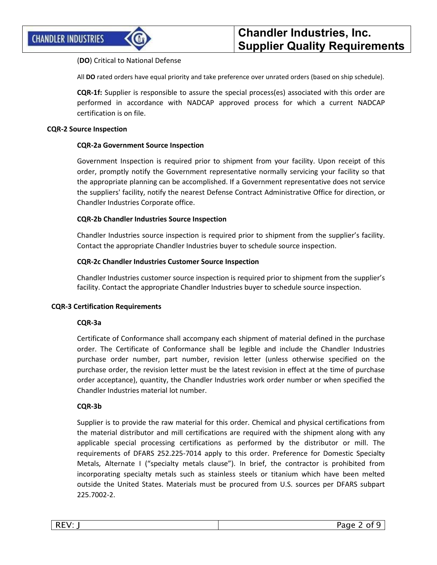## (**DO**) Critical to National Defense

All **DO** rated orders have equal priority and take preference over unrated orders (based on ship schedule).

**CQR-1f:** Supplier is responsible to assure the special process(es) associated with this order are performed in accordance with NADCAP approved process for which a current NADCAP certification is on file.

#### **CQR-2 Source Inspection**

## **CQR-2a Government Source Inspection**

Government Inspection is required prior to shipment from your facility. Upon receipt of this order, promptly notify the Government representative normally servicing your facility so that the appropriate planning can be accomplished. If a Government representative does not service the suppliers' facility, notify the nearest Defense Contract Administrative Office for direction, or Chandler Industries Corporate office.

#### **CQR-2b Chandler Industries Source Inspection**

Chandler Industries source inspection is required prior to shipment from the supplier's facility. Contact the appropriate Chandler Industries buyer to schedule source inspection.

#### **CQR-2c Chandler Industries Customer Source Inspection**

Chandler Industries customer source inspection is required prior to shipment from the supplier's facility. Contact the appropriate Chandler Industries buyer to schedule source inspection.

#### **CQR-3 Certification Requirements**

## **CQR-3a**

Certificate of Conformance shall accompany each shipment of material defined in the purchase order. The Certificate of Conformance shall be legible and include the Chandler Industries purchase order number, part number, revision letter (unless otherwise specified on the purchase order, the revision letter must be the latest revision in effect at the time of purchase order acceptance), quantity, the Chandler Industries work order number or when specified the Chandler Industries material lot number.

## **CQR-3b**

Supplier is to provide the raw material for this order. Chemical and physical certifications from the material distributor and mill certifications are required with the shipment along with any applicable special processing certifications as performed by the distributor or mill. The requirements of DFARS 252.225-7014 apply to this order. Preference for Domestic Specialty Metals, Alternate I ("specialty metals clause"). In brief, the contractor is prohibited from incorporating specialty metals such as stainless steels or titanium which have been melted outside the United States. Materials must be procured from U.S. sources per DFARS subpart 225.7002-2.

| REV. | $\sim$ $\sim$ $\sim$<br>.<br>$\sim$ $\cdot$ |
|------|---------------------------------------------|
|      |                                             |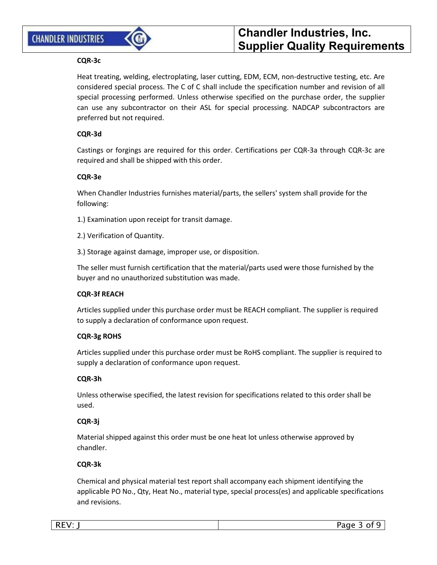## **CHANDLER INDUSTRIES**



# **Chandler Industries, Inc. Supplier Quality Requirements**

## **CQR-3c**

Heat treating, welding, electroplating, laser cutting, EDM, ECM, non-destructive testing, etc. Are considered special process. The C of C shall include the specification number and revision of all special processing performed. Unless otherwise specified on the purchase order, the supplier can use any subcontractor on their ASL for special processing. NADCAP subcontractors are preferred but not required.

## **CQR-3d**

Castings or forgings are required for this order. Certifications per CQR-3a through CQR-3c are required and shall be shipped with this order.

## **CQR-3e**

When Chandler Industries furnishes material/parts, the sellers' system shall provide for the following:

- 1.) Examination upon receipt for transit damage.
- 2.) Verification of Quantity.
- 3.) Storage against damage, improper use, or disposition.

The seller must furnish certification that the material/parts used were those furnished by the buyer and no unauthorized substitution was made.

## **CQR-3f REACH**

Articles supplied under this purchase order must be REACH compliant. The supplier is required to supply a declaration of conformance upon request.

## **CQR-3g ROHS**

Articles supplied under this purchase order must be RoHS compliant. The supplier is required to supply a declaration of conformance upon request.

## **CQR-3h**

Unless otherwise specified, the latest revision for specifications related to this order shall be used.

## **CQR-3j**

Material shipped against this order must be one heat lot unless otherwise approved by chandler.

## **CQR-3k**

Chemical and physical material test report shall accompany each shipment identifying the applicable PO No., Qty, Heat No., material type, special process(es) and applicable specifications and revisions.

| . | the contract of the con- |
|---|--------------------------|
|   |                          |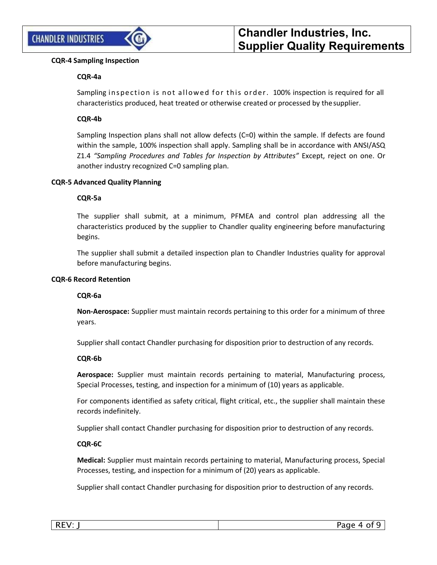

## **CQR-4 Sampling Inspection**

## **CQR-4a**

Sampling inspection is not allowed for this order. 100% inspection is required for all characteristics produced, heat treated or otherwise created or processed by thesupplier.

## **CQR-4b**

Sampling Inspection plans shall not allow defects (C=0) within the sample. If defects are found within the sample, 100% inspection shall apply. Sampling shall be in accordance with ANSI/ASQ Z1.4 *"Sampling Procedures and Tables for Inspection by Attributes"* Except, reject on one. Or another industry recognized C=0 sampling plan.

## **CQR-5 Advanced Quality Planning**

## **CQR-5a**

The supplier shall submit, at a minimum, PFMEA and control plan addressing all the characteristics produced by the supplier to Chandler quality engineering before manufacturing begins.

The supplier shall submit a detailed inspection plan to Chandler Industries quality for approval before manufacturing begins.

## **CQR-6 Record Retention**

## **CQR-6a**

**Non-Aerospace:** Supplier must maintain records pertaining to this order for a minimum of three years.

Supplier shall contact Chandler purchasing for disposition prior to destruction of any records.

## **CQR-6b**

**Aerospace:** Supplier must maintain records pertaining to material, Manufacturing process, Special Processes, testing, and inspection for a minimum of (10) years as applicable.

For components identified as safety critical, flight critical, etc., the supplier shall maintain these records indefinitely.

Supplier shall contact Chandler purchasing for disposition prior to destruction of any records.

## **CQR-6C**

**Medical:** Supplier must maintain records pertaining to material, Manufacturing process, Special Processes, testing, and inspection for a minimum of (20) years as applicable.

Supplier shall contact Chandler purchasing for disposition prior to destruction of any records.

|   | D- |
|---|----|
| . |    |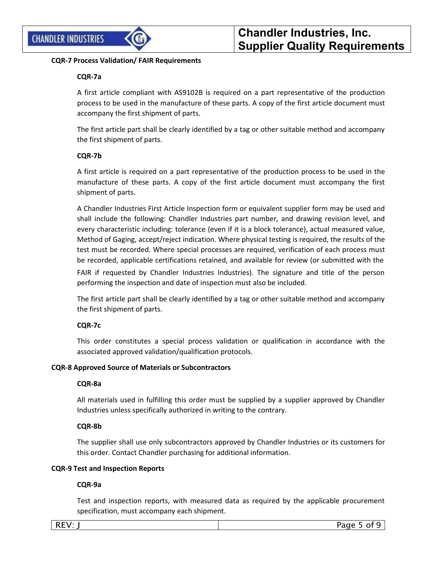

## **CQR-7 Process Validation/ FAIR Requirements**

## **CQR-7a**

A first article compliant with AS9102B is required on a part representative of the production process to be used in the manufacture of these parts. A copy of the first article document must accompany the first shipment of parts.

The first article part shall be clearly identified by a tag or other suitable method and accompany the first shipment of parts.

## **CQR-7b**

A first article is required on a part representative of the production process to be used in the manufacture of these parts. A copy of the first article document must accompany the first shipment of parts.

A Chandler Industries First Article Inspection form or equivalent supplier form may be used and shall include the following: Chandler Industries part number, and drawing revision level, and every characteristic including: tolerance (even if it is a block tolerance), actual measured value, Method of Gaging, accept/reject indication. Where physical testing is required, the results of the test must be recorded. Where special processes are required, verification of each process must be recorded, applicable certifications retained, and available for review (or submitted with the

FAIR if requested by Chandler Industries Industries). The signature and title of the person performing the inspection and date of inspection must also be included.

The first article part shall be clearly identified by a tag or other suitable method and accompany the first shipment of parts.

## **CQR-7c**

This order constitutes a special process validation or qualification in accordance with the associated approved validation/qualification protocols.

## **CQR-8 Approved Source of Materials or Subcontractors**

## **CQR-8a**

All materials used in fulfilling this order must be supplied by a supplier approved by Chandler Industries unless specifically authorized in writing to the contrary.

## **CQR-8b**

The supplier shall use only subcontractors approved by Chandler Industries or its customers for this order. Contact Chandler purchasing for additional information.

## **CQR-9 Test and Inspection Reports**

## **CQR-9a**

Test and inspection reports, with measured data as required by the applicable procurement specification, must accompany each shipment.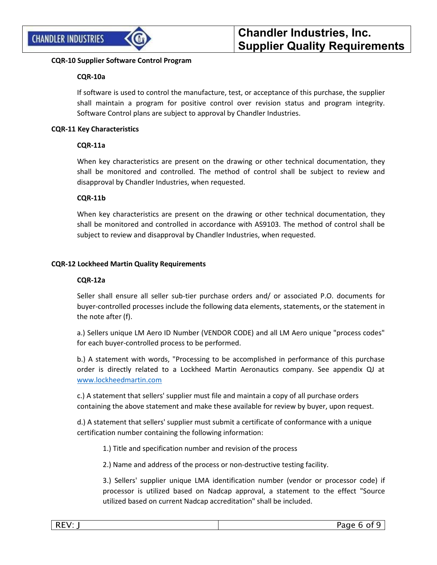

## **CQR-10 Supplier Software Control Program**

## **CQR-10a**

If software is used to control the manufacture, test, or acceptance of this purchase, the supplier shall maintain a program for positive control over revision status and program integrity. Software Control plans are subject to approval by Chandler Industries.

## **CQR-11 Key Characteristics**

## **CQR-11a**

When key characteristics are present on the drawing or other technical documentation, they shall be monitored and controlled. The method of control shall be subject to review and disapproval by Chandler Industries, when requested.

## **CQR-11b**

When key characteristics are present on the drawing or other technical documentation, they shall be monitored and controlled in accordance with AS9103. The method of control shall be subject to review and disapproval by Chandler Industries, when requested.

## **CQR-12 Lockheed Martin Quality Requirements**

## **CQR-12a**

Seller shall ensure all seller sub-tier purchase orders and/ or associated P.O. documents for buyer-controlled processes include the following data elements, statements, or the statement in the note after (f).

a.) Sellers unique LM Aero ID Number (VENDOR CODE) and all LM Aero unique "process codes" for each buyer-controlled process to be performed.

b.) A statement with words, "Processing to be accomplished in performance of this purchase order is directly related to a Lockheed Martin Aeronautics company. See appendix QJ at [www.lockheedmartin.com](http://www.lockheedmartin.com/)

c.) A statement that sellers' supplier must file and maintain a copy of all purchase orders containing the above statement and make these available for review by buyer, upon request.

d.) A statement that sellers' supplier must submit a certificate of conformance with a unique certification number containing the following information:

1.) Title and specification number and revision of the process

2.) Name and address of the process or non-destructive testing facility.

3.) Sellers' supplier unique LMA identification number (vendor or processor code) if processor is utilized based on Nadcap approval, a statement to the effect "Source utilized based on current Nadcap accreditation" shall be included.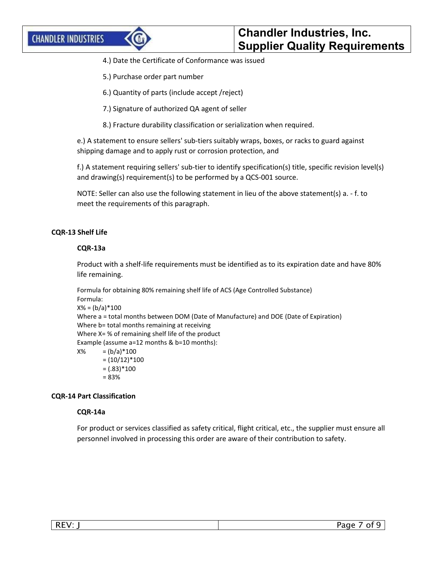- 4.) Date the Certificate of Conformance was issued
- 5.) Purchase order part number
- 6.) Quantity of parts (include accept /reject)
- 7.) Signature of authorized QA agent of seller
- 8.) Fracture durability classification or serialization when required.

e.) A statement to ensure sellers' sub-tiers suitably wraps, boxes, or racks to guard against shipping damage and to apply rust or corrosion protection, and

f.) A statement requiring sellers' sub-tier to identify specification(s) title, specific revision level(s) and drawing(s) requirement(s) to be performed by a QCS-001 source.

NOTE: Seller can also use the following statement in lieu of the above statement(s) a. - f. to meet the requirements of this paragraph.

## **CQR-13 Shelf Life**

#### **CQR-13a**

Product with a shelf-life requirements must be identified as to its expiration date and have 80% life remaining.

Formula for obtaining 80% remaining shelf life of ACS (Age Controlled Substance) Formula:  $X% = (b/a)*100$ Where a = total months between DOM (Date of Manufacture) and DOE (Date of Expiration) Where b= total months remaining at receiving Where X= % of remaining shelf life of the product Example (assume a=12 months & b=10 months):  $X\% = (b/a)*100$  $=(10/12)*100$  $= (.83) * 100$ = 83%

## **CQR-14 Part Classification**

#### **CQR-14a**

For product or services classified as safety critical, flight critical, etc., the supplier must ensure all personnel involved in processing this order are aware of their contribution to safety.

|--|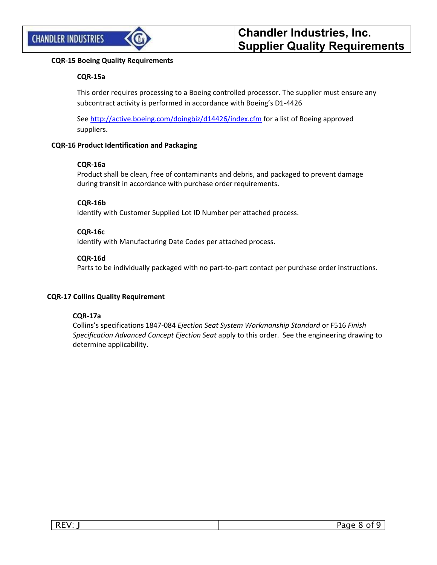

## **CQR-15 Boeing Quality Requirements**

## **CQR-15a**

This order requires processing to a Boeing controlled processor. The supplier must ensure any subcontract activity is performed in accordance with Boeing's D1-4426

Se[e http://active.boeing.com/doingbiz/d14426/index.cfm](http://active.boeing.com/doingbiz/d14426/index.cfm) for a list of Boeing approved suppliers.

## **CQR-16 Product Identification and Packaging**

## **CQR-16a**

Product shall be clean, free of contaminants and debris, and packaged to prevent damage during transit in accordance with purchase order requirements.

## **CQR-16b**

Identify with Customer Supplied Lot ID Number per attached process.

## **CQR-16c**

Identify with Manufacturing Date Codes per attached process.

## **CQR-16d**

Parts to be individually packaged with no part-to-part contact per purchase order instructions.

## **CQR-17 Collins Quality Requirement**

## **CQR-17a**

Collins's specifications 1847-084 *Ejection Seat System Workmanship Standard* or F516 *Finish Specification Advanced Concept Ejection Seat* apply to this order. See the engineering drawing to determine applicability.

| <u>r</u><br>к.<br>$\cdots$<br>- 11 | $D \cap \cap \cap$ |
|------------------------------------|--------------------|
|                                    |                    |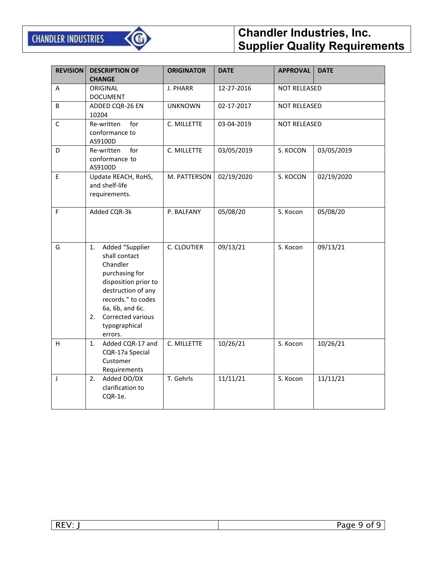

# **Chandler Industries, Inc. Supplier Quality Requirements**

| <b>REVISION</b> | <b>DESCRIPTION OF</b><br><b>CHANGE</b>                                                                                                                                                                             | <b>ORIGINATOR</b> | <b>DATE</b> | <b>APPROVAL</b>     | <b>DATE</b> |
|-----------------|--------------------------------------------------------------------------------------------------------------------------------------------------------------------------------------------------------------------|-------------------|-------------|---------------------|-------------|
| Α               | ORIGINAL<br><b>DOCUMENT</b>                                                                                                                                                                                        | J. PHARR          | 12-27-2016  | <b>NOT RELEASED</b> |             |
| B               | ADDED CQR-26 EN<br>10204                                                                                                                                                                                           | <b>UNKNOWN</b>    | 02-17-2017  | NOT RELEASED        |             |
| $\mathsf{C}$    | for<br>Re-written<br>conformance to<br>AS9100D                                                                                                                                                                     | C. MILLETTE       | 03-04-2019  | <b>NOT RELEASED</b> |             |
| D               | for<br>Re-written<br>conformance to<br>AS9100D                                                                                                                                                                     | C. MILLETTE       | 03/05/2019  | S. KOCON            | 03/05/2019  |
| E               | Update REACH, RoHS,<br>and shelf-life<br>requirements.                                                                                                                                                             | M. PATTERSON      | 02/19/2020  | S. KOCON            | 02/19/2020  |
| F               | Added CQR-3k                                                                                                                                                                                                       | P. BALFANY        | 05/08/20    | S. Kocon            | 05/08/20    |
| G               | Added "Supplier<br>1.<br>shall contact<br>Chandler<br>purchasing for<br>disposition prior to<br>destruction of any<br>records." to codes<br>6a, 6b, and 6c.<br>Corrected various<br>2.<br>typographical<br>errors. | C. CLOUTIER       | 09/13/21    | S. Kocon            | 09/13/21    |
| H               | Added CQR-17 and<br>1.<br>CQR-17a Special<br>Customer<br>Requirements                                                                                                                                              | C. MILLETTE       | 10/26/21    | S. Kocon            | 10/26/21    |
| J               | 2.<br>Added DO/DX<br>clarification to<br>CQR-1e.                                                                                                                                                                   | T. Gehrls         | 11/11/21    | S. Kocon            | 11/11/21    |

| $\sim$ $\sim$ $\sim$ $\sim$ | __ |
|-----------------------------|----|
|                             |    |